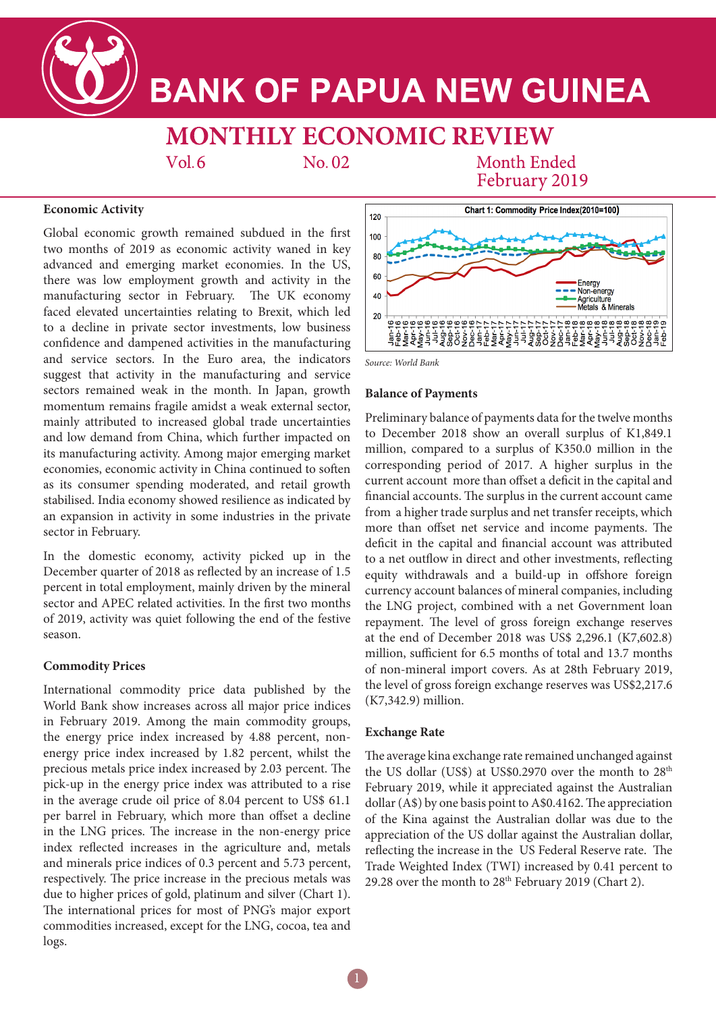**BANK OF PAPUA NEW GUINEA** 

**MONTHLY ECONOMIC REVIEW** 

 $Vol<sub>6</sub>$ 

No.02

**Month Ended** February 2019

## **Economic Activity**

Global economic growth remained subdued in the first two months of 2019 as economic activity waned in key advanced and emerging market economies. In the US, there was low employment growth and activity in the manufacturing sector in February. The UK economy faced elevated uncertainties relating to Brexit, which led to a decline in private sector investments, low business confidence and dampened activities in the manufacturing and service sectors. In the Euro area, the indicators suggest that activity in the manufacturing and service sectors remained weak in the month. In Japan, growth momentum remains fragile amidst a weak external sector, mainly attributed to increased global trade uncertainties and low demand from China, which further impacted on its manufacturing activity. Among major emerging market economies, economic activity in China continued to soften as its consumer spending moderated, and retail growth stabilised. India economy showed resilience as indicated by an expansion in activity in some industries in the private sector in February.

In the domestic economy, activity picked up in the December quarter of 2018 as reflected by an increase of 1.5 percent in total employment, mainly driven by the mineral sector and APEC related activities. In the first two months of 2019, activity was quiet following the end of the festive season.

## **Commodity Prices**

International commodity price data published by the World Bank show increases across all major price indices in February 2019. Among the main commodity groups, the energy price index increased by 4.88 percent, nonenergy price index increased by 1.82 percent, whilst the precious metals price index increased by 2.03 percent. The pick-up in the energy price index was attributed to a rise in the average crude oil price of 8.04 percent to US\$ 61.1 per barrel in February, which more than offset a decline in the LNG prices. The increase in the non-energy price index reflected increases in the agriculture and, metals and minerals price indices of 0.3 percent and 5.73 percent, respectively. The price increase in the precious metals was due to higher prices of gold, platinum and silver (Chart 1). The international prices for most of PNG's major export commodities increased, except for the LNG, cocoa, tea and logs.





## **Balance of Payments**

Preliminary balance of payments data for the twelve months to December 2018 show an overall surplus of K1,849.1 million, compared to a surplus of K350.0 million in the corresponding period of 2017. A higher surplus in the current account more than offset a deficit in the capital and financial accounts. The surplus in the current account came from a higher trade surplus and net transfer receipts, which more than offset net service and income payments. The deficit in the capital and financial account was attributed to a net outflow in direct and other investments, reflecting equity withdrawals and a build-up in offshore foreign currency account balances of mineral companies, including the LNG project, combined with a net Government loan repayment. The level of gross foreign exchange reserves at the end of December 2018 was US\$ 2,296.1 (K7,602.8) million, sufficient for 6.5 months of total and 13.7 months of non-mineral import covers. As at 28th February 2019, the level of gross foreign exchange reserves was US\$2,217.6 (K7,342.9) million.

## **Exchange Rate**

The average kina exchange rate remained unchanged against the US dollar (US\$) at US\$0.2970 over the month to  $28<sup>th</sup>$ February 2019, while it appreciated against the Australian dollar (A\$) by one basis point to A\$0.4162. The appreciation of the Kina against the Australian dollar was due to the appreciation of the US dollar against the Australian dollar, reflecting the increase in the US Federal Reserve rate. The Trade Weighted Index (TWI) increased by 0.41 percent to 29.28 over the month to  $28<sup>th</sup>$  February 2019 (Chart 2).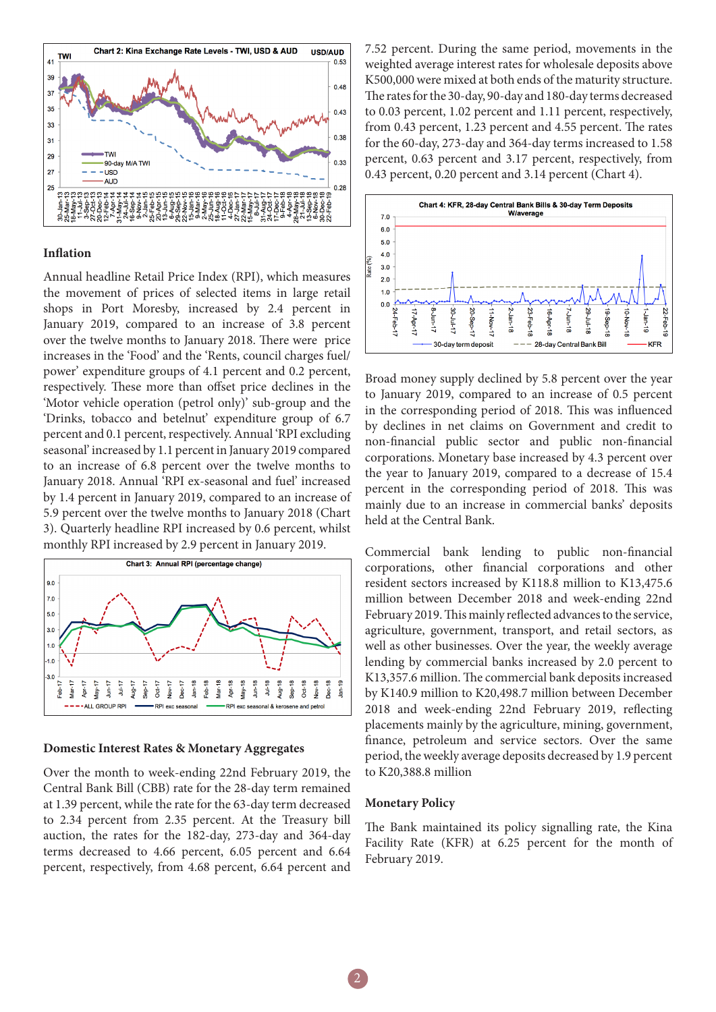

#### **Inflation**

Annual headline Retail Price Index (RPI), which measures the movement of prices of selected items in large retail shops in Port Moresby, increased by 2.4 percent in January 2019, compared to an increase of 3.8 percent over the twelve months to January 2018. There were price increases in the 'Food' and the 'Rents, council charges fuel/ power' expenditure groups of 4.1 percent and 0.2 percent, respectively. These more than offset price declines in the 'Motor vehicle operation (petrol only)' sub-group and the 'Drinks, tobacco and betelnut' expenditure group of 6.7 percent and 0.1 percent, respectively. Annual 'RPI excluding seasonal' increased by 1.1 percent in January 2019 compared to an increase of 6.8 percent over the twelve months to January 2018. Annual 'RPI ex-seasonal and fuel' increased by 1.4 percent in January 2019, compared to an increase of 5.9 percent over the twelve months to January 2018 (Chart 3). Quarterly headline RPI increased by 0.6 percent, whilst monthly RPI increased by 2.9 percent in January 2019.



### **Domestic Interest Rates & Monetary Aggregates**

Over the month to week-ending 22nd February 2019, the Central Bank Bill (CBB) rate for the 28-day term remained at 1.39 percent, while the rate for the 63-day term decreased to 2.34 percent from 2.35 percent. At the Treasury bill auction, the rates for the 182-day, 273-day and 364-day terms decreased to 4.66 percent, 6.05 percent and 6.64 percent, respectively, from 4.68 percent, 6.64 percent and

7.52 percent. During the same period, movements in the weighted average interest rates for wholesale deposits above K500,000 were mixed at both ends of the maturity structure. The rates for the 30-day, 90-day and 180-day terms decreased to 0.03 percent, 1.02 percent and 1.11 percent, respectively, from 0.43 percent, 1.23 percent and 4.55 percent. The rates for the 60-day, 273-day and 364-day terms increased to 1.58 percent, 0.63 percent and 3.17 percent, respectively, from 0.43 percent, 0.20 percent and 3.14 percent (Chart 4).



Broad money supply declined by 5.8 percent over the year to January 2019, compared to an increase of 0.5 percent in the corresponding period of 2018. This was influenced by declines in net claims on Government and credit to non-financial public sector and public non-financial corporations. Monetary base increased by 4.3 percent over the year to January 2019, compared to a decrease of 15.4 percent in the corresponding period of 2018. This was mainly due to an increase in commercial banks' deposits held at the Central Bank.

Commercial bank lending to public non-financial corporations, other financial corporations and other resident sectors increased by K118.8 million to K13,475.6 million between December 2018 and week-ending 22nd February 2019. This mainly reflected advances to the service, agriculture, government, transport, and retail sectors, as well as other businesses. Over the year, the weekly average lending by commercial banks increased by 2.0 percent to K13,357.6 million. The commercial bank deposits increased by K140.9 million to K20,498.7 million between December 2018 and week-ending 22nd February 2019, reflecting placements mainly by the agriculture, mining, government, finance, petroleum and service sectors. Over the same period, the weekly average deposits decreased by 1.9 percent to K20,388.8 million

#### **Monetary Policy**

The Bank maintained its policy signalling rate, the Kina Facility Rate (KFR) at 6.25 percent for the month of February 2019.

2